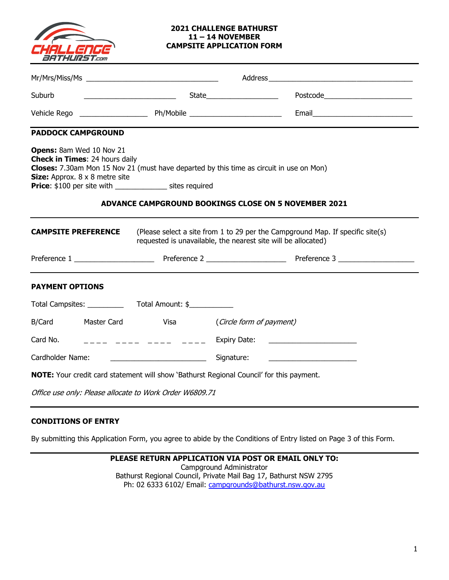

#### **2021 CHALLENGE BATHURST 11 – 14 NOVEMBER CAMPSITE APPLICATION FORM**

| Suburb                                                                                                                                                                                                                                                                                                                                                     |                                                                                                                                                                                                                                                                                                                     | <u>State State State</u> | Postcode Postcode |
|------------------------------------------------------------------------------------------------------------------------------------------------------------------------------------------------------------------------------------------------------------------------------------------------------------------------------------------------------------|---------------------------------------------------------------------------------------------------------------------------------------------------------------------------------------------------------------------------------------------------------------------------------------------------------------------|--------------------------|-------------------|
|                                                                                                                                                                                                                                                                                                                                                            |                                                                                                                                                                                                                                                                                                                     |                          |                   |
| <b>PADDOCK CAMPGROUND</b>                                                                                                                                                                                                                                                                                                                                  |                                                                                                                                                                                                                                                                                                                     |                          |                   |
| <b>Opens:</b> 8am Wed 10 Nov 21<br><b>Check in Times: 24 hours daily</b><br>Closes: 7.30am Mon 15 Nov 21 (must have departed by this time as circuit in use on Mon)<br><b>Size:</b> Approx. $8 \times 8$ metre site<br><b>Price:</b> \$100 per site with ___________________ sites required<br><b>ADVANCE CAMPGROUND BOOKINGS CLOSE ON 5 NOVEMBER 2021</b> |                                                                                                                                                                                                                                                                                                                     |                          |                   |
| (Please select a site from 1 to 29 per the Campground Map. If specific site(s)<br><b>CAMPSITE PREFERENCE</b><br>requested is unavailable, the nearest site will be allocated)                                                                                                                                                                              |                                                                                                                                                                                                                                                                                                                     |                          |                   |
|                                                                                                                                                                                                                                                                                                                                                            |                                                                                                                                                                                                                                                                                                                     |                          |                   |
| <b>PAYMENT OPTIONS</b>                                                                                                                                                                                                                                                                                                                                     |                                                                                                                                                                                                                                                                                                                     |                          |                   |
|                                                                                                                                                                                                                                                                                                                                                            |                                                                                                                                                                                                                                                                                                                     |                          |                   |
| B/Card<br>Master Card                                                                                                                                                                                                                                                                                                                                      | <b>Sand School School School School School School School School School School School School School School School</b>                                                                                                                                                                                                | (Circle form of payment) |                   |
| Card No.                                                                                                                                                                                                                                                                                                                                                   | $\frac{1}{2}$ $\frac{1}{2}$ $\frac{1}{2}$ $\frac{1}{2}$ $\frac{1}{2}$ $\frac{1}{2}$ $\frac{1}{2}$ $\frac{1}{2}$ $\frac{1}{2}$ $\frac{1}{2}$ $\frac{1}{2}$ $\frac{1}{2}$ $\frac{1}{2}$ $\frac{1}{2}$ $\frac{1}{2}$ $\frac{1}{2}$ $\frac{1}{2}$ $\frac{1}{2}$ $\frac{1}{2}$ $\frac{1}{2}$ $\frac{1}{2}$ $\frac{1}{2}$ |                          |                   |
| Cardholder Name:                                                                                                                                                                                                                                                                                                                                           |                                                                                                                                                                                                                                                                                                                     | Signature:               |                   |
| NOTE: Your credit card statement will show 'Bathurst Regional Council' for this payment.                                                                                                                                                                                                                                                                   |                                                                                                                                                                                                                                                                                                                     |                          |                   |
| Office use only: Please allocate to Work Order W6809.71                                                                                                                                                                                                                                                                                                    |                                                                                                                                                                                                                                                                                                                     |                          |                   |

# **CONDITIONS OF ENTRY**

By submitting this Application Form, you agree to abide by the Conditions of Entry listed on Page 3 of this Form.

**PLEASE RETURN APPLICATION VIA POST OR EMAIL ONLY TO:** Campground Administrator Bathurst Regional Council, Private Mail Bag 17, Bathurst NSW 2795 Ph: 02 6333 6102/ Email: campgrounds@bathurst.nsw.gov.au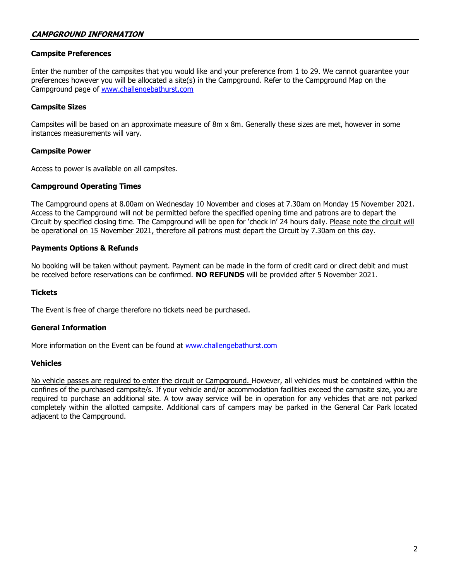### **Campsite Preferences**

Enter the number of the campsites that you would like and your preference from 1 to 29. We cannot guarantee your preferences however you will be allocated a site(s) in the Campground. Refer to the Campground Map on the Campground page of [www.challengebathurst.com](http://www.challengebathurst.com/)

### **Campsite Sizes**

Campsites will be based on an approximate measure of 8m x 8m. Generally these sizes are met, however in some instances measurements will vary.

### **Campsite Power**

Access to power is available on all campsites.

### **Campground Operating Times**

The Campground opens at 8.00am on Wednesday 10 November and closes at 7.30am on Monday 15 November 2021. Access to the Campground will not be permitted before the specified opening time and patrons are to depart the Circuit by specified closing time. The Campground will be open for 'check in' 24 hours daily. Please note the circuit will be operational on 15 November 2021, therefore all patrons must depart the Circuit by 7.30am on this day.

### **Payments Options & Refunds**

No booking will be taken without payment. Payment can be made in the form of credit card or direct debit and must be received before reservations can be confirmed. **NO REFUNDS** will be provided after 5 November 2021.

### **Tickets**

The Event is free of charge therefore no tickets need be purchased.

### **General Information**

More information on the Event can be found at [www.challengebathurst.com](http://www.challengebathurst.com/)

### **Vehicles**

No vehicle passes are required to enter the circuit or Campground. However, all vehicles must be contained within the confines of the purchased campsite/s. If your vehicle and/or accommodation facilities exceed the campsite size, you are required to purchase an additional site. A tow away service will be in operation for any vehicles that are not parked completely within the allotted campsite. Additional cars of campers may be parked in the General Car Park located adjacent to the Campground.